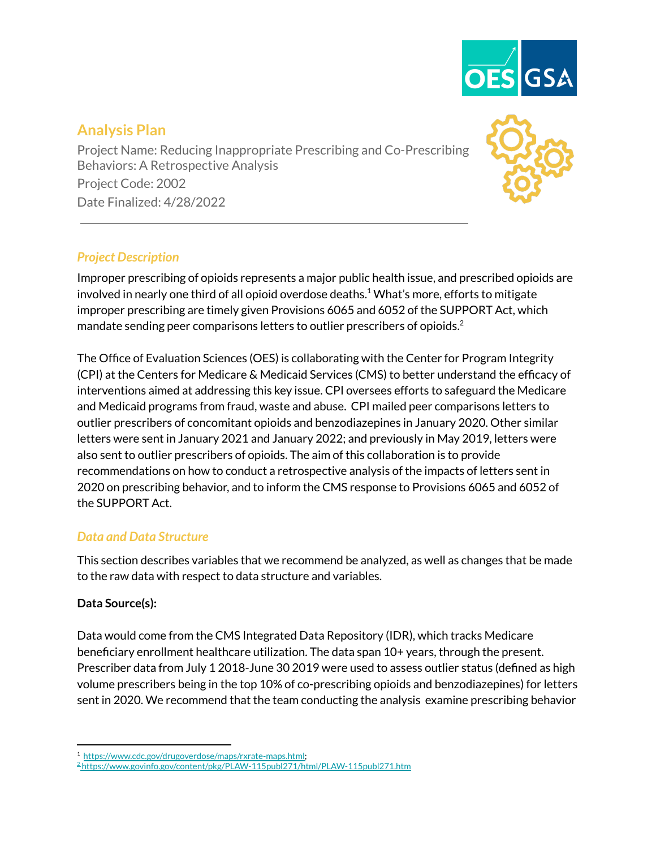

# **Analysis Plan**

Project Name: Reducing Inappropriate Prescribing and Co-Prescribing Behaviors: A Retrospective Analysis Project Code: 2002 Date Finalized: 4/28/2022

## *Project Description*

Improper prescribing of opioids represents a major public health issue, and prescribed opioids are involved in nearly one third of all opioid overdose deaths. $^1$  What's more, efforts to mitigate improper prescribing are timely given Provisions 6065 and 6052 of the SUPPORT Act, which mandate sending peer comparisons letters to outlier prescribers of opioids. $^2$ 

The Office of Evaluation Sciences (OES) is collaborating with the Center for Program Integrity (CPI) at the Centers for Medicare & Medicaid Services (CMS) to better understand the efficacy of interventions aimed at addressing this key issue. CPI oversees efforts to safeguard the Medicare and Medicaid programs from fraud, waste and abuse. CPI mailed peer comparisons letters to outlier prescribers of concomitant opioids and benzodiazepines in January 2020. Other similar letters were sent in January 2021 and January 2022; and previously in May 2019, letters were also sent to outlier prescribers of opioids. The aim of this collaboration is to provide recommendations on how to conduct a retrospective analysis of the impacts of letters sent in 2020 on prescribing behavior, and to inform the CMS response to Provisions 6065 and 6052 of the SUPPORT Act.

## *Data and Data Structure*

This section describes variables that we recommend be analyzed, as well as changes that be made to the raw data with respect to data structure and variables.

## **Data Source(s):**

Data would come from the CMS Integrated Data Repository (IDR), which tracks Medicare beneficiary enrollment healthcare utilization. The data span 10+ years, through the present. Prescriber data from July 1 2018-June 30 2019 were used to assess outlier status (defined as high volume prescribers being in the top 10% of co-prescribing opioids and benzodiazepines) for letters sent in 2020. We recommend that the team conducting the analysis examine prescribing behavior

<sup>1</sup> [https://www.cdc.gov/drugoverdose/maps/rxrate-maps.html;](https://www.cdc.gov/drugoverdose/data/prescribing/overdose-death-maps.html)

<sup>2</sup> <https://www.govinfo.gov/content/pkg/PLAW-115publ271/html/PLAW-115publ271.htm>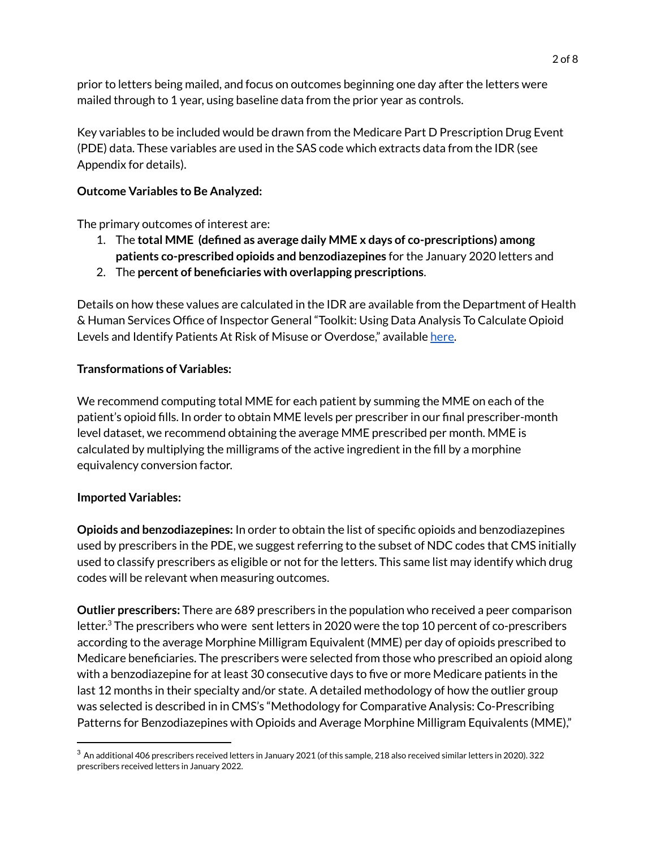prior to letters being mailed, and focus on outcomes beginning one day after the letters were mailed through to 1 year, using baseline data from the prior year as controls.

Key variables to be included would be drawn from the Medicare Part D Prescription Drug Event (PDE) data. These variables are used in the SAS code which extracts data from the IDR (see Appendix for details).

## **Outcome Variables to Be Analyzed:**

The primary outcomes of interest are:

- 1. The **total MME (defined as average daily MME x days of co-prescriptions) among patients co-prescribed opioids and benzodiazepines** for the January 2020 letters and
- 2. The **percent of beneficiaries with overlapping prescriptions**.

Details on how these values are calculated in the IDR are available from the Department of Health & Human Services Office of Inspector General "Toolkit: Using Data Analysis To Calculate Opioid Levels and Identify Patients At Risk of Misuse or Overdose," available [here.](https://oig.hhs.gov/oei/reports/oei-02-17-00560.pdf)

## **Transformations of Variables:**

We recommend computing total MME for each patient by summing the MME on each of the patient's opioid fills. In order to obtain MME levels per prescriber in our final prescriber-month level dataset, we recommend obtaining the average MME prescribed per month. MME is calculated by multiplying the milligrams of the active ingredient in the fill by a morphine equivalency conversion factor.

#### **Imported Variables:**

**Opioids and benzodiazepines:** In order to obtain the list of specific opioids and benzodiazepines used by prescribers in the PDE, we suggest referring to the subset of NDC codes that CMS initially used to classify prescribers as eligible or not for the letters. This same list may identify which drug codes will be relevant when measuring outcomes.

**Outlier prescribers:** There are 689 prescribers in the population who received a peer comparison letter. $3$  The prescribers who were sent letters in 2020 were the top 10 percent of co-prescribers according to the average Morphine Milligram Equivalent (MME) per day of opioids prescribed to Medicare beneficiaries. The prescribers were selected from those who prescribed an opioid along with a benzodiazepine for at least 30 consecutive days to five or more Medicare patients in the last 12 months in their specialty and/or state. A detailed methodology of how the outlier group was selected is described in in CMS's "Methodology for Comparative Analysis: Co-Prescribing Patterns for Benzodiazepines with Opioids and Average Morphine Milligram Equivalents (MME),"

 $^3$  An additional 406 prescribers received letters in January 2021 (of this sample, 218 also received similar letters in 2020). 322 prescribers received letters in January 2022.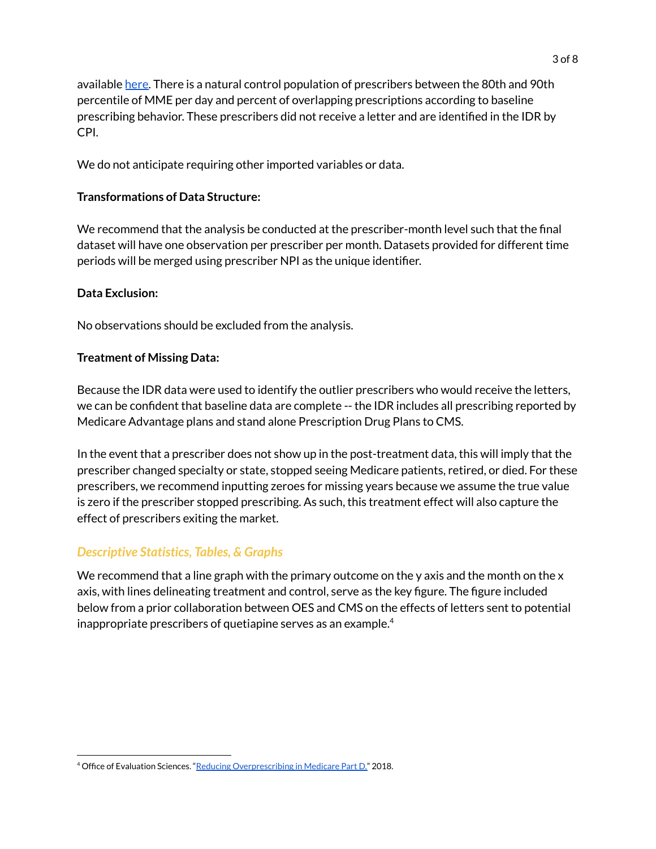available [here.](https://www.cms.gov/files/document/methodology-comparison.pdf) There is a natural control population of prescribers between the 80th and 90th percentile of MME per day and percent of overlapping prescriptions according to baseline prescribing behavior. These prescribers did not receive a letter and are identified in the IDR by CPI.

We do not anticipate requiring other imported variables or data.

## **Transformations of Data Structure:**

We recommend that the analysis be conducted at the prescriber-month level such that the final dataset will have one observation per prescriber per month. Datasets provided for different time periods will be merged using prescriber NPI as the unique identifier.

## **Data Exclusion:**

No observations should be excluded from the analysis.

## **Treatment of Missing Data:**

Because the IDR data were used to identify the outlier prescribers who would receive the letters, we can be confident that baseline data are complete -- the IDR includes all prescribing reported by Medicare Advantage plans and stand alone Prescription Drug Plans to CMS.

In the event that a prescriber does not show up in the post-treatment data, this will imply that the prescriber changed specialty or state, stopped seeing Medicare patients, retired, or died. For these prescribers, we recommend inputting zeroes for missing years because we assume the true value is zero if the prescriber stopped prescribing. As such, this treatment effect will also capture the effect of prescribers exiting the market.

## *Descriptive Statistics, Tables, & Graphs*

We recommend that a line graph with the primary outcome on the y axis and the month on the  $x$ axis, with lines delineating treatment and control, serve as the key figure. The figure included below from a prior collaboration between OES and CMS on the effects of letters sent to potential inappropriate prescribers of quetiapine serves as an example. $^4$ 

<sup>&</sup>lt;sup>4</sup> Office of Evaluation Sciences. "Reducing [Overprescribing](https://oes.gsa.gov/projects/quetiapine-prescribing/) in Medicare Part D." 2018.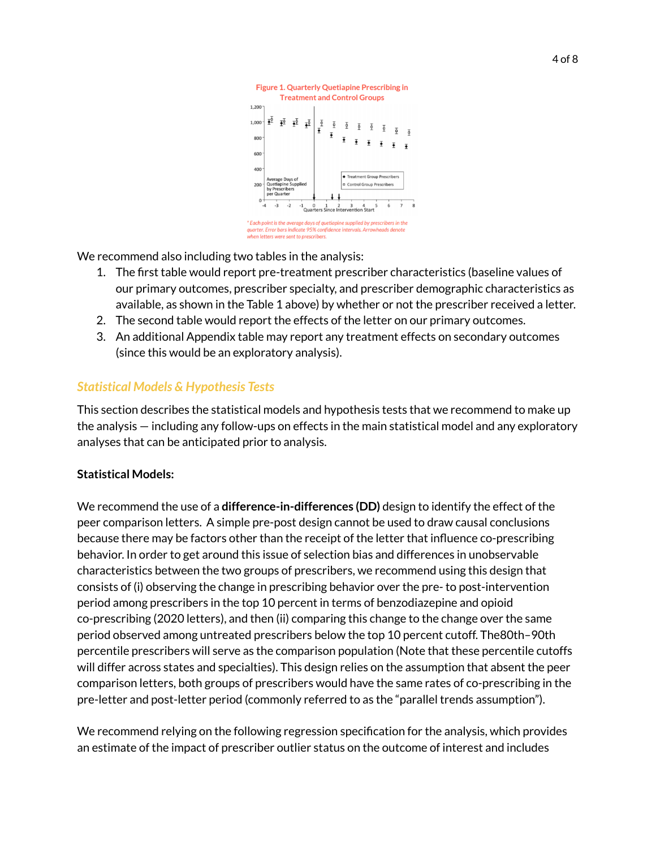

We recommend also including two tables in the analysis:

- 1. The first table would report pre-treatment prescriber characteristics (baseline values of our primary outcomes, prescriber specialty, and prescriber demographic characteristics as available, as shown in the Table 1 above) by whether or not the prescriber received a letter.
- 2. The second table would report the effects of the letter on our primary outcomes.
- 3. An additional Appendix table may report any treatment effects on secondary outcomes (since this would be an exploratory analysis).

## *Statistical Models & Hypothesis Tests*

This section describes the statistical models and hypothesis tests that we recommend to make up the analysis — including any follow-ups on effects in the main statistical model and any exploratory analyses that can be anticipated prior to analysis.

#### **Statistical Models:**

We recommend the use of a **difference-in-differences (DD)** design to identify the effect of the peer comparison letters. A simple pre-post design cannot be used to draw causal conclusions because there may be factors other than the receipt of the letter that influence co-prescribing behavior. In order to get around this issue of selection bias and differences in unobservable characteristics between the two groups of prescribers, we recommend using this design that consists of (i) observing the change in prescribing behavior over the pre- to post-intervention period among prescribers in the top 10 percent in terms of benzodiazepine and opioid co-prescribing (2020 letters), and then (ii) comparing this change to the change over the same period observed among untreated prescribers below the top 10 percent cutoff. The80th–90th percentile prescribers will serve as the comparison population (Note that these percentile cutoffs will differ across states and specialties). This design relies on the assumption that absent the peer comparison letters, both groups of prescribers would have the same rates of co-prescribing in the pre-letter and post-letter period (commonly referred to as the "parallel trends assumption").

We recommend relying on the following regression specification for the analysis, which provides an estimate of the impact of prescriber outlier status on the outcome of interest and includes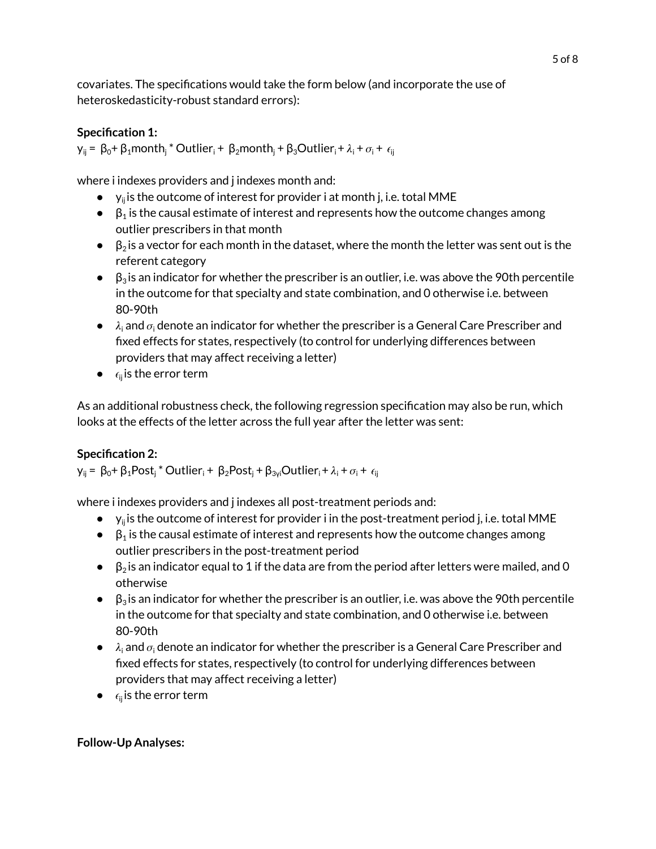covariates. The specifications would take the form below (and incorporate the use of heteroskedasticity-robust standard errors):

## **Specification 1:**

 $y_{ij} = \beta_0 + \beta_1$ month<sub>i</sub> \* Outlier<sub>i</sub> +  $\beta_2$ month<sub>i</sub> +  $\beta_3$ Outlier<sub>i</sub> +  $\lambda_i$  +  $\sigma_i$  +  $\epsilon_{ij}$ 

where i indexes providers and j indexes month and:

- $\bullet$   $\gamma_{ij}$  is the outcome of interest for provider i at month j, i.e. total MME
- $\bullet$   $\beta_1$  is the causal estimate of interest and represents how the outcome changes among outlier prescribers in that month
- $\bullet$   $\beta_2$  is a vector for each month in the dataset, where the month the letter was sent out is the referent category
- $\bullet$   $\beta_3$  is an indicator for whether the prescriber is an outlier, i.e. was above the 90th percentile in the outcome for that specialty and state combination, and 0 otherwise i.e. between 80-90th
- $\bullet$   $\lambda_i$  and  $\sigma_i$  denote an indicator for whether the prescriber is a General Care Prescriber and fixed effects for states, respectively (to control for underlying differences between providers that may affect receiving a letter)
- $\bullet$   $\epsilon_{ij}$  is the error term

As an additional robustness check, the following regression specification may also be run, which looks at the effects of the letter across the full year after the letter was sent:

## **Specification 2:**

 $y_{ij} = \beta_0 + \beta_1$ Post<sub>j</sub> \* Outlier<sub>i</sub> +  $\beta_2$ Post<sub>j</sub> +  $\beta_{3yi}$ Outlier<sub>i</sub> +  $\lambda_i$  +  $\sigma_i$  +  $\epsilon_{ij}$ 

where i indexes providers and j indexes all post-treatment periods and:

- $\bullet$  y<sub>ij</sub> is the outcome of interest for provider i in the post-treatment period j, i.e. total MME
- $\bullet$   $\beta_1$  is the causal estimate of interest and represents how the outcome changes among outlier prescribers in the post-treatment period
- $\bullet$   $\beta_2$  is an indicator equal to 1 if the data are from the period after letters were mailed, and 0 otherwise
- $\bullet$   $\beta_3$  is an indicator for whether the prescriber is an outlier, i.e. was above the 90th percentile in the outcome for that specialty and state combination, and 0 otherwise i.e. between 80-90th
- $\bullet$   $\lambda_i$  and  $\sigma_i$  denote an indicator for whether the prescriber is a General Care Prescriber and fixed effects for states, respectively (to control for underlying differences between providers that may affect receiving a letter)
- $\bullet$   $\epsilon_{ij}$  is the error term

## **Follow-Up Analyses:**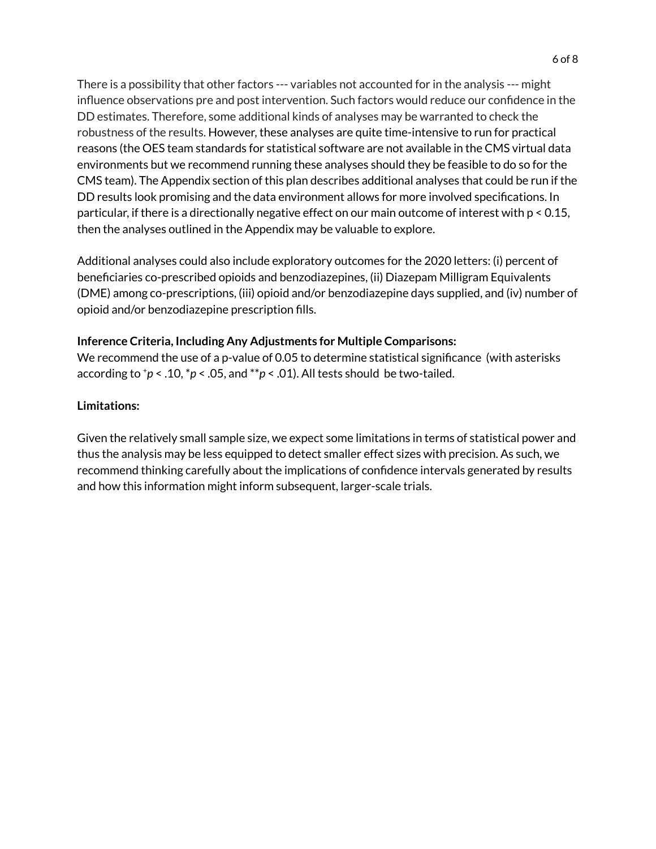There is a possibility that other factors --- variables not accounted for in the analysis --- might influence observations pre and post intervention. Such factors would reduce our confidence in the DD estimates. Therefore, some additional kinds of analyses may be warranted to check the robustness of the results. However, these analyses are quite time-intensive to run for practical reasons (the OES team standards for statistical software are not available in the CMS virtual data environments but we recommend running these analyses should they be feasible to do so for the CMS team). The Appendix section of this plan describes additional analyses that could be run if the DD results look promising and the data environment allows for more involved specifications. In particular, if there is a directionally negative effect on our main outcome of interest with p < 0.15, then the analyses outlined in the Appendix may be valuable to explore.

Additional analyses could also include exploratory outcomes for the 2020 letters: (i) percent of beneficiaries co-prescribed opioids and benzodiazepines, (ii) Diazepam Milligram Equivalents (DME) among co-prescriptions, (iii) opioid and/or benzodiazepine days supplied, and (iv) number of opioid and/or benzodiazepine prescription fills.

#### **Inference Criteria, Including Any Adjustments for Multiple Comparisons:**

We recommend the use of a p-value of 0.05 to determine statistical significance (with asterisks according to  $+p < .10, *p < .05$ , and  $**p < .01$ ). All tests should be two-tailed.

#### **Limitations:**

Given the relatively small sample size, we expect some limitations in terms of statistical power and thus the analysis may be less equipped to detect smaller effect sizes with precision. As such, we recommend thinking carefully about the implications of confidence intervals generated by results and how this information might inform subsequent, larger-scale trials.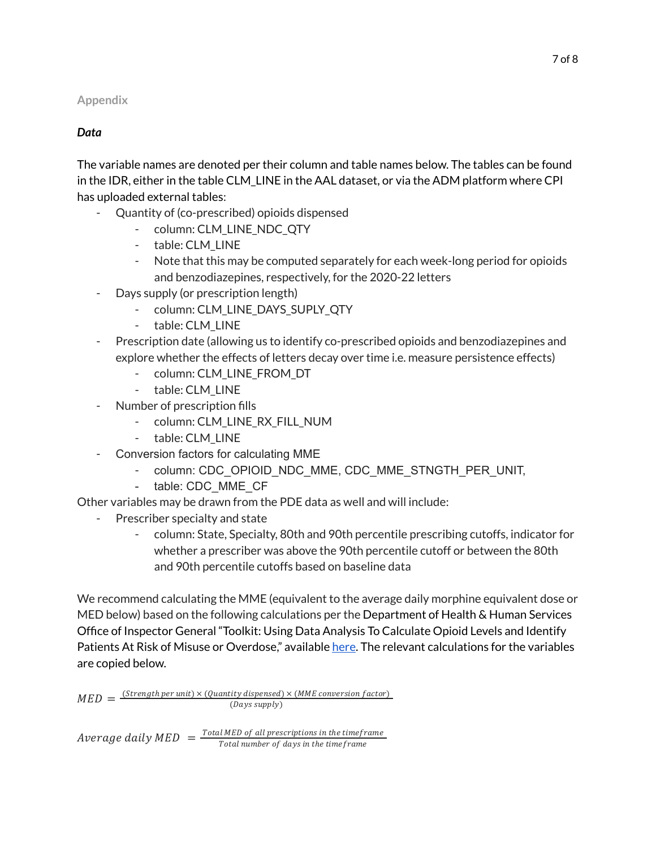## **Appendix**

## *Data*

The variable names are denoted per their column and table names below. The tables can be found in the IDR, either in the table CLM\_LINE in the AAL dataset, or via the ADM platform where CPI has uploaded external tables:

- Quantity of (co-prescribed) opioids dispensed
	- column: CLM\_LINE\_NDC\_QTY
	- table: CLM\_LINE
	- Note that this may be computed separately for each week-long period for opioids and benzodiazepines, respectively, for the 2020-22 letters
- Days supply (or prescription length)
	- column: CLM\_LINE\_DAYS\_SUPLY\_QTY
	- table: CLM\_LINE
- Prescription date (allowing us to identify co-prescribed opioids and benzodiazepines and explore whether the effects of letters decay over time i.e. measure persistence effects)
	- column: CLM\_LINE\_FROM\_DT
	- table: CLM\_LINE
- Number of prescription fills
	- column: CLM\_LINE\_RX\_FILL\_NUM
	- table: CLM\_LINE
- Conversion factors for calculating MME
	- column: CDC\_OPIOID\_NDC\_MME, CDC\_MME\_STNGTH\_PER\_UNIT,
	- table: CDC\_MME\_CF

Other variables may be drawn from the PDE data as well and will include:

- Prescriber specialty and state
	- column: State, Specialty, 80th and 90th percentile prescribing cutoffs, indicator for whether a prescriber was above the 90th percentile cutoff or between the 80th and 90th percentile cutoffs based on baseline data

We recommend calculating the MME (equivalent to the average daily morphine equivalent dose or MED below) based on the following calculations per the Department of Health & Human Services Office of Inspector General "Toolkit: Using Data Analysis To Calculate Opioid Levels and Identify Patients At Risk of Misuse or Overdose," available [here](https://oig.hhs.gov/oei/reports/oei-02-17-00560.pdf). The relevant calculations for the variables are copied below.

$$
MED = \frac{(Strongth per unit) \times (Quantity dispensed) \times (MME conversion factor)}{(Days supply)}
$$

Average daily  $MED = \frac{Total MED of all presentations in the timeframe}{Total number of days in the time frame}$ Total number of days in the timeframe